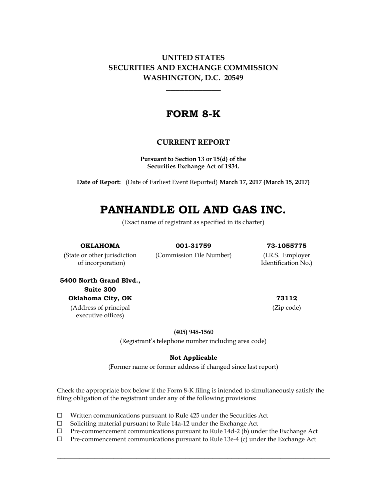## **UNITED STATES SECURITIES AND EXCHANGE COMMISSION WASHINGTON, D.C. 20549**

## **FORM 8-K**

## **CURRENT REPORT**

**Pursuant to Section 13 or 15(d) of the Securities Exchange Act of 1934.**

**Date of Report:** (Date of Earliest Event Reported) **March 17, 2017 (March 15, 2017)**

# **PANHANDLE OIL AND GAS INC.**

(Exact name of registrant as specified in its charter)

**OKLAHOMA 001-31759 73-1055775**

(State or other jurisdiction (Commission File Number) (I.R.S. Employer of incorporation) Identification No.)

**5400 North Grand Blvd., Suite 300 Oklahoma City, OK 73112** (Address of principal

executive offices)

(Zip code)

**(405) 948-1560**

(Registrant's telephone number including area code)

#### **Not Applicable**

(Former name or former address if changed since last report)

Check the appropriate box below if the Form 8-K filing is intended to simultaneously satisfy the filing obligation of the registrant under any of the following provisions:

- $\Box$  Written communications pursuant to Rule 425 under the Securities Act
- $\square$  Soliciting material pursuant to Rule 14a-12 under the Exchange Act
- $\Box$  Pre-commencement communications pursuant to Rule 14d-2 (b) under the Exchange Act
- $\Box$  Pre-commencement communications pursuant to Rule 13e-4 (c) under the Exchange Act

 $\_$  , and the set of the set of the set of the set of the set of the set of the set of the set of the set of the set of the set of the set of the set of the set of the set of the set of the set of the set of the set of th